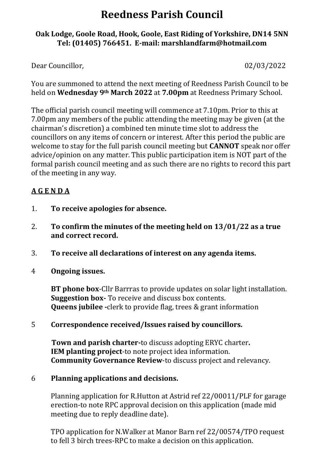# **Reedness Parish Council**

#### **Oak Lodge, Goole Road, Hook, Goole, East Riding of Yorkshire, DN14 5NN Tel: (01405) 766451. E-mail: [marshlandfarm@hotmail.com](mailto:marshlandfarm@hotmail.com)**

Dear Councillor, 02/03/2022

You are summoned to attend the next meeting of Reedness Parish Council to be held on **Wednesday 9th March 2022** at **7.00pm** at Reedness Primary School.

The official parish council meeting will commence at 7.10pm. Prior to this at 7.00pm any members of the public attending the meeting may be given (at the chairman's discretion) a combined ten minute time slot to address the councillors on any items of concern or interest. After this period the public are welcome to stay for the full parish council meeting but **CANNOT** speak nor offer advice/opinion on any matter. This public participation item is NOT part of the formal parish council meeting and as such there are no rights to record this part of the meeting in any way.

## **A G E N D A**

- 1. **To receive apologies for absence.**
- 2. **To confirm the minutes of the meeting held on 13/01/22 as a true and correct record.**
- 3. **To receive all declarations of interest on any agenda items.**
- 4 **Ongoing issues.**

**BT phone box**-Cllr Barrras to provide updates on solar light installation. **Suggestion box-** To receive and discuss box contents. **Queens jubilee -**clerk to provide flag, trees & grant information

5 **Correspondence received/Issues raised by councillors.**

 **Town and parish charter-**to discuss adopting ERYC charter**. IEM planting project**-to note project idea information. **Community Governance Review**-to discuss project and relevancy.

#### 6 **Planning applications and decisions.**

Planning application for R.Hutton at Astrid ref 22/00011/PLF for garage erection-to note RPC approval decision on this application (made mid meeting due to reply deadline date).

TPO application for N.Walker at Manor Barn ref 22/00574/TPO request to fell 3 birch trees-RPC to make a decision on this application.